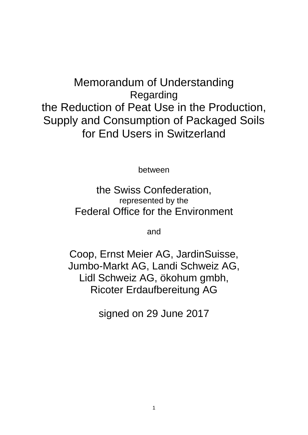# Memorandum of Understanding Regarding the Reduction of Peat Use in the Production, Supply and Consumption of Packaged Soils for End Users in Switzerland

between

the Swiss Confederation, represented by the Federal Office for the Environment

and

Coop, Ernst Meier AG, JardinSuisse, Jumbo-Markt AG, Landi Schweiz AG, Lidl Schweiz AG, ökohum gmbh, Ricoter Erdaufbereitung AG

signed on 29 June 2017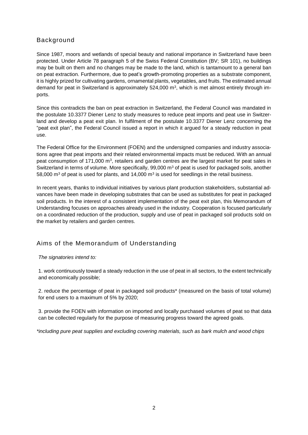#### Background

Since 1987, moors and wetlands of special beauty and national importance in Switzerland have been protected. Under Article 78 paragraph 5 of the Swiss Federal Constitution (BV; SR 101), no buildings may be built on them and no changes may be made to the land, which is tantamount to a general ban on peat extraction. Furthermore, due to peat's growth-promoting properties as a substrate component, it is highly prized for cultivating gardens, ornamental plants, vegetables, and fruits. The estimated annual demand for peat in Switzerland is approximately  $524,000$  m<sup>3</sup>, which is met almost entirely through imports.

Since this contradicts the ban on peat extraction in Switzerland, the Federal Council was mandated in the postulate 10.3377 Diener Lenz to study measures to reduce peat imports and peat use in Switzerland and develop a peat exit plan. In fulfilment of the postulate 10.3377 Diener Lenz concerning the "peat exit plan", the Federal Council issued a report in which it argued for a steady reduction in peat use.

The Federal Office for the Environment (FOEN) and the undersigned companies and industry associations agree that peat imports and their related environmental impacts must be reduced. With an annual peat consumption of 171,000 m<sup>3</sup>, retailers and garden centres are the largest market for peat sales in Switzerland in terms of volume. More specifically,  $99,000$  m<sup>3</sup> of peat is used for packaged soils, another 58,000 m<sup>3</sup> of peat is used for plants, and 14,000 m<sup>3</sup> is used for seedlings in the retail business.

In recent years, thanks to individual initiatives by various plant production stakeholders, substantial advances have been made in developing substrates that can be used as substitutes for peat in packaged soil products. In the interest of a consistent implementation of the peat exit plan, this Memorandum of Understanding focuses on approaches already used in the industry. Cooperation is focused particularly on a coordinated reduction of the production, supply and use of peat in packaged soil products sold on the market by retailers and garden centres.

### Aims of the Memorandum of Understanding

#### *The signatories intend to:*

1. work continuously toward a steady reduction in the use of peat in all sectors, to the extent technically and economically possible;

2. reduce the percentage of peat in packaged soil products\* (measured on the basis of total volume) for end users to a maximum of 5% by 2020;

3. provide the FOEN with information on imported and locally purchased volumes of peat so that data can be collected regularly for the purpose of measuring progress toward the agreed goals.

*\*including pure peat supplies and excluding covering materials, such as bark mulch and wood chips*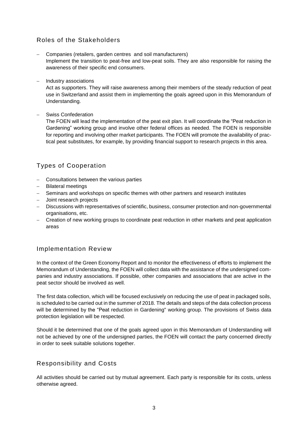## Roles of the Stakeholders

- Companies (retailers, garden centres and soil manufacturers) Implement the transition to peat-free and low-peat soils. They are also responsible for raising the awareness of their specific end consumers.
- Industry associations

Act as supporters. They will raise awareness among their members of the steady reduction of peat use in Switzerland and assist them in implementing the goals agreed upon in this Memorandum of Understanding.

- Swiss Confederation

The FOEN will lead the implementation of the peat exit plan. It will coordinate the "Peat reduction in Gardening" working group and involve other federal offices as needed. The FOEN is responsible for reporting and involving other market participants. The FOEN will promote the availability of practical peat substitutes, for example, by providing financial support to research projects in this area.

## Types of Cooperation

- Consultations between the various parties
- Bilateral meetings
- Seminars and workshops on specific themes with other partners and research institutes
- Joint research projects
- Discussions with representatives of scientific, business, consumer protection and non-governmental organisations, etc.
- Creation of new working groups to coordinate peat reduction in other markets and peat application areas

#### Implementation Review

In the context of the Green Economy Report and to monitor the effectiveness of efforts to implement the Memorandum of Understanding, the FOEN will collect data with the assistance of the undersigned companies and industry associations. If possible, other companies and associations that are active in the peat sector should be involved as well.

The first data collection, which will be focused exclusively on reducing the use of peat in packaged soils, is scheduled to be carried out in the summer of 2018. The details and steps of the data collection process will be determined by the "Peat reduction in Gardening" working group. The provisions of Swiss data protection legislation will be respected.

Should it be determined that one of the goals agreed upon in this Memorandum of Understanding will not be achieved by one of the undersigned parties, the FOEN will contact the party concerned directly in order to seek suitable solutions together.

#### Responsibility and Costs

All activities should be carried out by mutual agreement. Each party is responsible for its costs, unless otherwise agreed.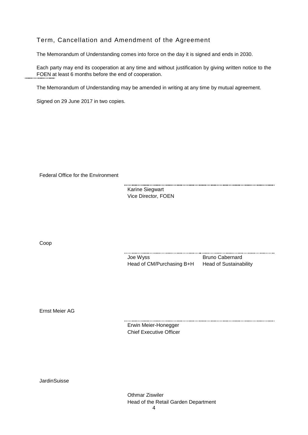#### Term, Cancellation and Amendment of the Agreement

The Memorandum of Understanding comes into force on the day it is signed and ends in 2030.

Each party may end its cooperation at any time and without justification by giving written notice to the FOEN at least 6 months before the end of cooperation.

The Memorandum of Understanding may be amended in writing at any time by mutual agreement.

Signed on 29 June 2017 in two copies.

Federal Office for the Environment

Karine Siegwart Vice Director, FOEN

Coop

Joe Wyss Bruno Cabernard Head of CM/Purchasing B+H Head of Sustainability

Ernst Meier AG

Erwin Meier-Honegger Chief Executive Officer

**JardinSuisse** 

Othmar Ziswiler Head of the Retail Garden Department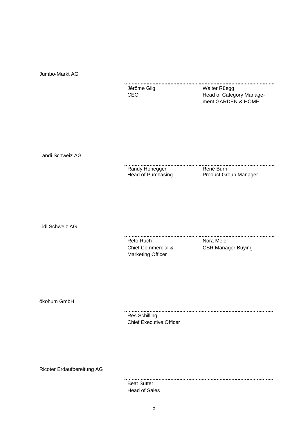Jumbo-Markt AG

| Jérôme Gilg | Walter Rüegg             |
|-------------|--------------------------|
| CEO.        | Head of Category Manage- |
|             | ment GARDEN & HOME       |

Landi Schweiz AG

Randy Honegger Head of Purchasing René Burri Product Group Manager

Lidl Schweiz AG

Reto Ruch Nora Meier Chief Commercial & Marketing Officer

CSR Manager Buying

ökohum GmbH

Res Schilling Chief Executive Officer

Ricoter Erdaufbereitung AG

Beat Sutter Head of Sales